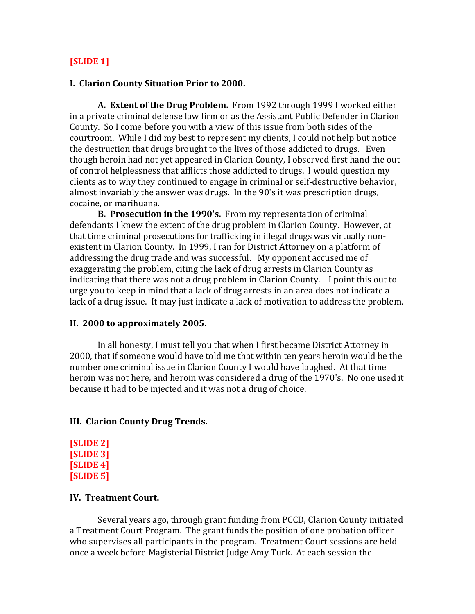## **[SLIDE 1]**

### **I. Clarion County Situation Prior to 2000.**

**A. Extent of the Drug Problem.** From 1992 through 1999 I worked either in a private criminal defense law firm or as the Assistant Public Defender in Clarion County. So I come before you with a view of this issue from both sides of the courtroom. While I did my best to represent my clients, I could not help but notice the destruction that drugs brought to the lives of those addicted to drugs. Even though heroin had not yet appeared in Clarion County, I observed first hand the out of control helplessness that afflicts those addicted to drugs. I would question my clients as to why they continued to engage in criminal or self-destructive behavior, almost invariably the answer was drugs. In the 90's it was prescription drugs, cocaine, or marihuana.

**B. Prosecution in the 1990's.** From my representation of criminal defendants I knew the extent of the drug problem in Clarion County. However, at that time criminal prosecutions for trafficking in illegal drugs was virtually nonexistent in Clarion County. In 1999, I ran for District Attorney on a platform of addressing the drug trade and was successful. My opponent accused me of exaggerating the problem, citing the lack of drug arrests in Clarion County as indicating that there was not a drug problem in Clarion County. I point this out to urge you to keep in mind that a lack of drug arrests in an area does not indicate a lack of a drug issue. It may just indicate a lack of motivation to address the problem.

#### **II. 2000 to approximately 2005.**

In all honesty, I must tell you that when I first became District Attorney in 2000, that if someone would have told me that within ten years heroin would be the number one criminal issue in Clarion County I would have laughed. At that time heroin was not here, and heroin was considered a drug of the 1970's. No one used it because it had to be injected and it was not a drug of choice.

#### **III. Clarion County Drug Trends.**

```
[SLIDE 2]
[SLIDE 3]
[SLIDE 4]
[SLIDE 5]
```
#### **IV. Treatment Court.**

Several years ago, through grant funding from PCCD, Clarion County initiated a Treatment Court Program. The grant funds the position of one probation officer who supervises all participants in the program. Treatment Court sessions are held once a week before Magisterial District Judge Amy Turk. At each session the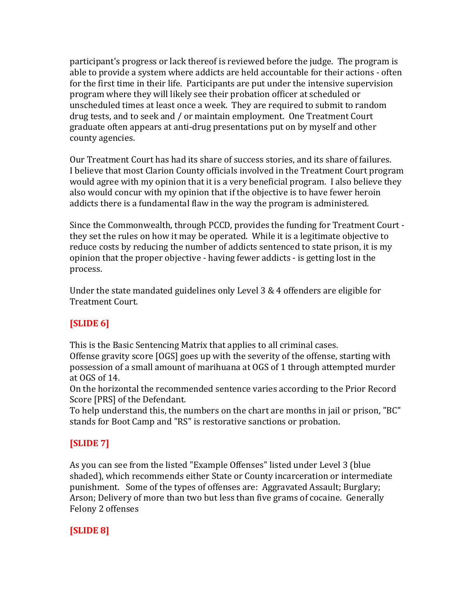participant's progress or lack thereof is reviewed before the judge. The program is able to provide a system where addicts are held accountable for their actions - often for the first time in their life. Participants are put under the intensive supervision program where they will likely see their probation officer at scheduled or unscheduled times at least once a week. They are required to submit to random drug tests, and to seek and / or maintain employment. One Treatment Court graduate often appears at anti-drug presentations put on by myself and other county agencies.

Our Treatment Court has had its share of success stories, and its share of failures. I believe that most Clarion County officials involved in the Treatment Court program would agree with my opinion that it is a very beneficial program. I also believe they also would concur with my opinion that if the objective is to have fewer heroin addicts there is a fundamental flaw in the way the program is administered.

Since the Commonwealth, through PCCD, provides the funding for Treatment Court they set the rules on how it may be operated. While it is a legitimate objective to reduce costs by reducing the number of addicts sentenced to state prison, it is my opinion that the proper objective - having fewer addicts - is getting lost in the process.

Under the state mandated guidelines only Level 3 & 4 offenders are eligible for Treatment Court.

# **[SLIDE 6]**

This is the Basic Sentencing Matrix that applies to all criminal cases. Offense gravity score [OGS] goes up with the severity of the offense, starting with possession of a small amount of marihuana at OGS of 1 through attempted murder at OGS of 14.

On the horizontal the recommended sentence varies according to the Prior Record Score [PRS] of the Defendant.

To help understand this, the numbers on the chart are months in jail or prison, "BC" stands for Boot Camp and "RS" is restorative sanctions or probation.

# **[SLIDE 7]**

As you can see from the listed "Example Offenses" listed under Level 3 (blue shaded), which recommends either State or County incarceration or intermediate punishment. Some of the types of offenses are: Aggravated Assault; Burglary; Arson; Delivery of more than two but less than five grams of cocaine. Generally Felony 2 offenses

# **[SLIDE 8]**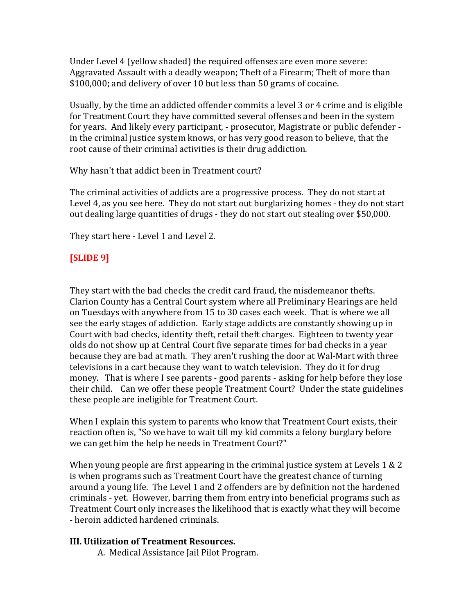Under Level 4 (yellow shaded) the required offenses are even more severe: Aggravated Assault with a deadly weapon; Theft of a Firearm; Theft of more than \$100,000; and delivery of over 10 but less than 50 grams of cocaine.

Usually, by the time an addicted offender commits a level 3 or 4 crime and is eligible for Treatment Court they have committed several offenses and been in the system for years. And likely every participant, - prosecutor, Magistrate or public defender in the criminal justice system knows, or has very good reason to believe, that the root cause of their criminal activities is their drug addiction.

Why hasn't that addict been in Treatment court?

The criminal activities of addicts are a progressive process. They do not start at Level 4, as you see here. They do not start out burglarizing homes - they do not start out dealing large quantities of drugs - they do not start out stealing over \$50,000.

They start here - Level 1 and Level 2.

# **[SLIDE 9]**

They start with the bad checks the credit card fraud, the misdemeanor thefts. Clarion County has a Central Court system where all Preliminary Hearings are held on Tuesdays with anywhere from 15 to 30 cases each week. That is where we all see the early stages of addiction. Early stage addicts are constantly showing up in Court with bad checks, identity theft, retail theft charges. Eighteen to twenty year olds do not show up at Central Court five separate times for bad checks in a year because they are bad at math. They aren't rushing the door at Wal-Mart with three televisions in a cart because they want to watch television. They do it for drug money. That is where I see parents - good parents - asking for help before they lose their child. Can we offer these people Treatment Court? Under the state guidelines these people are ineligible for Treatment Court.

When I explain this system to parents who know that Treatment Court exists, their reaction often is, "So we have to wait till my kid commits a felony burglary before we can get him the help he needs in Treatment Court?"

When young people are first appearing in the criminal justice system at Levels  $1 \& 2$ is when programs such as Treatment Court have the greatest chance of turning around a young life. The Level 1 and 2 offenders are by definition not the hardened criminals - yet. However, barring them from entry into beneficial programs such as Treatment Court only increases the likelihood that is exactly what they will become - heroin addicted hardened criminals.

## **III. Utilization of Treatment Resources.**

A. Medical Assistance Jail Pilot Program.